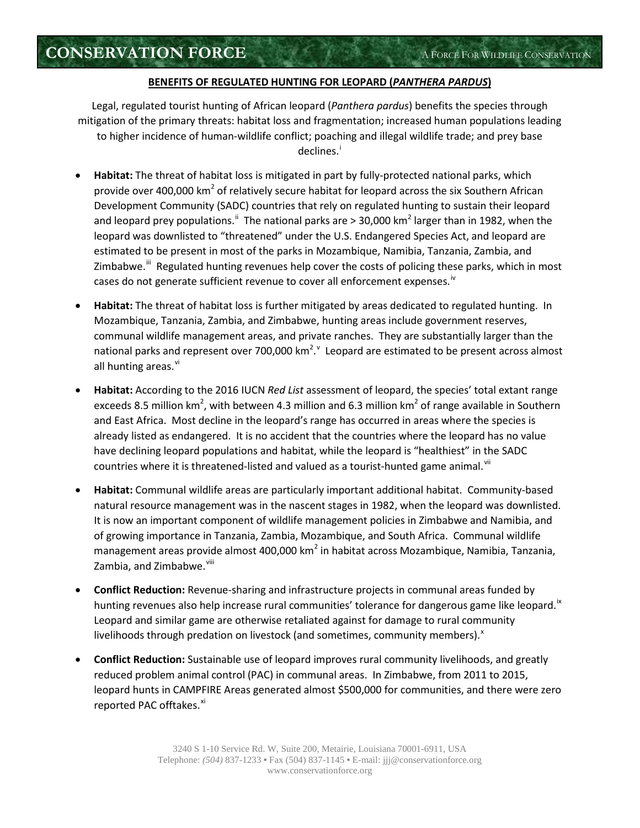## **BENEFITS OF REGULATED HUNTING FOR LEOPARD (***PANTHERA PARDUS***)**

Legal, regulated tourist hunting of African leopard (*Panthera pardus*) benefits the species through mitigation of the primary threats: habitat loss and fragmentation; increased human populations leading to higher incidence of human-wildlife conflict; poaching and illegal wildlife trade; and prey base declines. i

- **Habitat:** The threat of habitat loss is mitigated in part by fully-protected national parks, which provide over 400,000 km<sup>2</sup> of relatively secure habitat for leopard across the six Southern African Development Community (SADC) countries that rely on regulated hunting to sustain their leopard and leopard prey populations.<sup>ii</sup> The national parks are > 30,000 km<sup>2</sup> larger than in 1982, when the leopard was downlisted to "threatened" under the U.S. Endangered Species Act, and leopard are estimated to be present in most of the parks in Mozambique, Namibia, Tanzania, Zambia, and Zimbabwe.<sup>iii</sup> Regulated hunting revenues help cover the costs of policing these parks, which in most cases do not generate sufficient revenue to cover all enforcement expenses.<sup>iv</sup>
- **Habitat:** The threat of habitat loss is further mitigated by areas dedicated to regulated hunting. In Mozambique, Tanzania, Zambia, and Zimbabwe, hunting areas include government reserves, communal wildlife management areas, and private ranches. They are substantially larger than the national parks and represent over 700,000  $km^2$ . Leopard are estimated to be present across almost all hunting areas.<sup>vi</sup>
- **Habitat:** According to the 2016 IUCN *Red List* assessment of leopard, the species' total extant range exceeds 8.5 million km<sup>2</sup>, with between 4.3 million and 6.3 million km<sup>2</sup> of range available in Southern and East Africa. Most decline in the leopard's range has occurred in areas where the species is already listed as endangered. It is no accident that the countries where the leopard has no value have declining leopard populations and habitat, while the leopard is "healthiest" in the SADC countries where it is threatened-listed and valued as a tourist-hunted game animal. Vii
- **Habitat:** Communal wildlife areas are particularly important additional habitat. Community-based natural resource management was in the nascent stages in 1982, when the leopard was downlisted. It is now an important component of wildlife management policies in Zimbabwe and Namibia, and of growing importance in Tanzania, Zambia, Mozambique, and South Africa. Communal wildlife management areas provide almost 400,000 km<sup>2</sup> in habitat across Mozambique, Namibia, Tanzania, Zambia, and Zimbabwe.<sup>viii</sup>
- **Conflict Reduction:** Revenue-sharing and infrastructure projects in communal areas funded by hunting revenues also help increase rural communities' tolerance for dangerous game like leopard.<sup>ix</sup> Leopard and similar game are otherwise retaliated against for damage to rural community livelihoods through predation on livestock (and sometimes, community members). $^x$
- **Conflict Reduction:** Sustainable use of leopard improves rural community livelihoods, and greatly reduced problem animal control (PAC) in communal areas. In Zimbabwe, from 2011 to 2015, leopard hunts in CAMPFIRE Areas generated almost \$500,000 for communities, and there were zero reported PAC offtakes.<sup>xi</sup>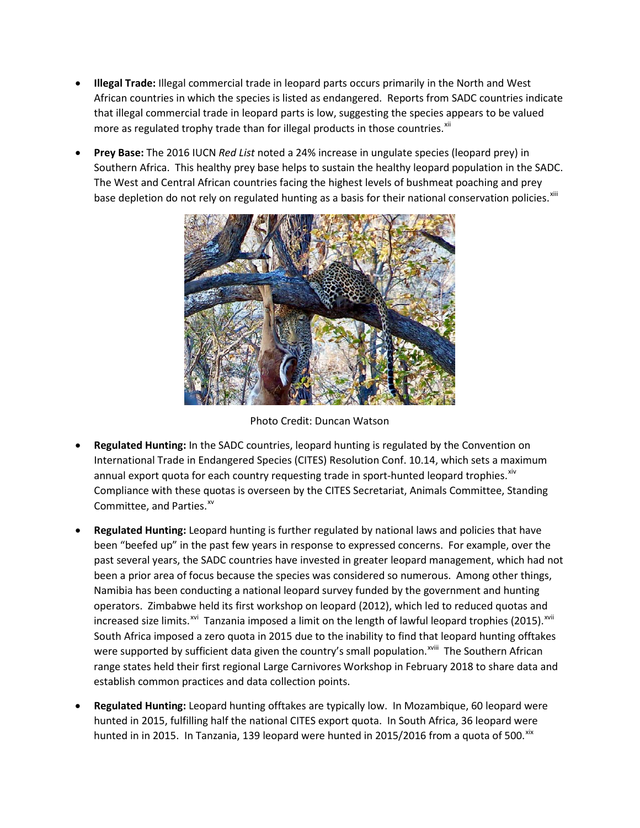- **Illegal Trade:** Illegal commercial trade in leopard parts occurs primarily in the North and West African countries in which the species is listed as endangered. Reports from SADC countries indicate that illegal commercial trade in leopard parts is low, suggesting the species appears to be valued more as regulated trophy trade than for illegal products in those countries.<sup>xii</sup>
- **Prey Base:** The 2016 IUCN *Red List* noted a 24% increase in ungulate species (leopard prey) in Southern Africa. This healthy prey base helps to sustain the healthy leopard population in the SADC. The West and Central African countries facing the highest levels of bushmeat poaching and prey base depletion do not rely on regulated hunting as a basis for their national conservation policies. <sup>xiii</sup>



Photo Credit: Duncan Watson

- **Regulated Hunting:** In the SADC countries, leopard hunting is regulated by the Convention on International Trade in Endangered Species (CITES) Resolution Conf. 10.14, which sets a maximum annual export quota for each country requesting trade in sport-hunted leopard trophies. $x^{x+y}$ Compliance with these quotas is overseen by the CITES Secretariat, Animals Committee, Standing Committee, and Parties.<sup>xv</sup>
- **Regulated Hunting:** Leopard hunting is further regulated by national laws and policies that have been "beefed up" in the past few years in response to expressed concerns. For example, over the past several years, the SADC countries have invested in greater leopard management, which had not been a prior area of focus because the species was considered so numerous. Among other things, Namibia has been conducting a national leopard survey funded by the government and hunting operators. Zimbabwe held its first workshop on leopard (2012), which led to reduced quotas and increased size limits.<sup>xvi</sup> Tanzania imposed a limit on the length of lawful leopard trophies (2015).<sup>xvii</sup> were supported by sufficient data given the country's small population.<sup>xviii</sup> The Southern African South Africa imposed a zero quota in 2015 due to the inability to find that leopard hunting offtakes range states held their first regional Large Carnivores Workshop in February 2018 to share data and establish common practices and data collection points.
- **Regulated Hunting:** Leopard hunting offtakes are typically low. In Mozambique, 60 leopard were hunted in 2015, fulfilling half the national CITES export quota. In South Africa, 36 leopard were hunted in in 2015. In Tanzania, 139 leopard were hunted in 2015/2016 from a quota of 500. xix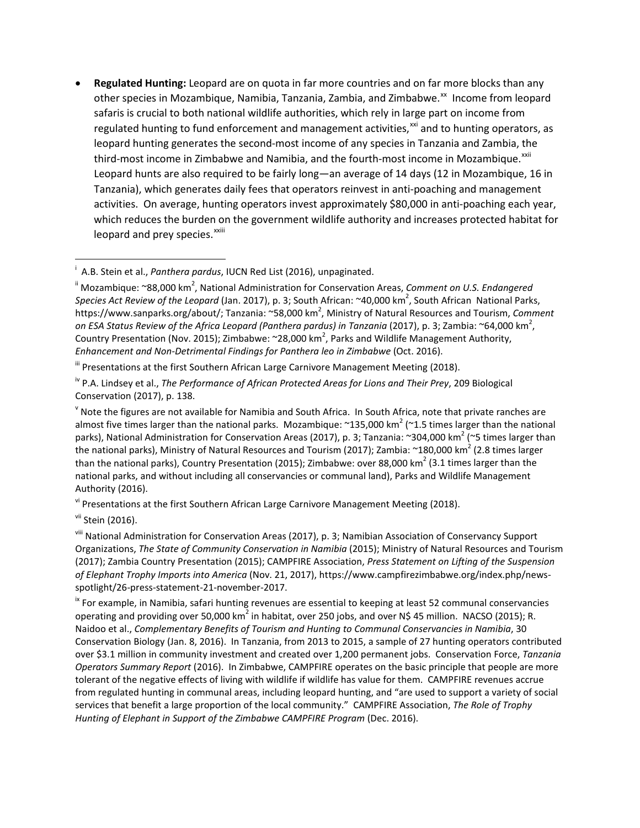• **Regulated Hunting:** Leopard are on quota in far more countries and on far more blocks than any other species in Mozambique, Namibia, Tanzania, Zambia, and Zimbabwe.<sup>xx</sup> Income from leopard leopard and prey species.<sup>xxiii</sup> safaris is crucial to both national wildlife authorities, which rely in large part on income from regulated hunting to fund enforcement and management activities,<sup> $xi$ </sup> and to hunting operators, as leopard hunting generates the second-most income of any species in Tanzania and Zambia, the third-most income in Zimbabwe and Namibia, and the fourth-most income in Mozambique.<sup>xxii</sup> Leopard hunts are also required to be fairly long—an average of 14 days (12 in Mozambique, 16 in Tanzania), which generates daily fees that operators reinvest in anti-poaching and management activities. On average, hunting operators invest approximately \$80,000 in anti-poaching each year, which reduces the burden on the government wildlife authority and increases protected habitat for

v<sup>i</sup> Presentations at the first Southern African Large Carnivore Management Meeting (2018).

i A.B. Stein et al., *Panthera pardus*, IUCN Red List (2016), unpaginated.

<sup>&</sup>lt;sup>ii</sup> Mozambique: ~88,000 km<sup>2</sup>, National Administration for Conservation Areas, *Comment on U.S. Endangered* Species Act Review of the Leopard (Jan. 2017), p. 3; South African: ~40,000 km<sup>2</sup>, South African National Parks, https://www.sanparks.org/about/; Tanzania: ~58,000 km<sup>2</sup>, Ministry of Natural Resources and Tourism, *Comment on ESA Status Review of the Africa Leopard (Panthera pardus) in Tanzania* (2017), p. 3; Zambia: ~64,000 km<sup>2</sup> , Country Presentation (Nov. 2015); Zimbabwe:  $\sim$ 28,000 km<sup>2</sup>, Parks and Wildlife Management Authority, *Enhancement and Non-Detrimental Findings for Panthera leo in Zimbabwe* (Oct. 2016).

III Presentations at the first Southern African Large Carnivore Management Meeting (2018).

iv P.A. Lindsey et al., *The Performance of African Protected Areas for Lions and Their Prey*, 209 Biological Conservation (2017), p. 138.

 $\rm v$  Note the figures are not available for Namibia and South Africa. In South Africa, note that private ranches are almost five times larger than the national parks. Mozambique:  $\approx$ 135,000 km<sup>2</sup> ( $\approx$ 1.5 times larger than the national parks), National Administration for Conservation Areas (2017), p. 3; Tanzania: ~304,000 km<sup>2</sup> (~5 times larger than the national parks), Ministry of Natural Resources and Tourism (2017); Zambia:  $\sim$ 180,000 km<sup>2</sup> (2.8 times larger than the national parks), Country Presentation (2015); Zimbabwe: over 88,000 km<sup>2</sup> (3.1 times larger than the national parks, and without including all conservancies or communal land), Parks and Wildlife Management Authority (2016).

<sup>&</sup>lt;sup>vii</sup> Stein (2016).

viii National Administration for Conservation Areas (2017), p. 3; Namibian Association of Conservancy Support Organizations, *The State of Community Conservation in Namibia* (2015); Ministry of Natural Resources and Tourism (2017); Zambia Country Presentation (2015); CAMPFIRE Association, *Press Statement on Lifting of the Suspension of Elephant Trophy Imports into America* (Nov. 21, 2017), https://www.campfirezimbabwe.org/index.php/newsspotlight/26-press-statement-21-november-2017.

<sup>&</sup>lt;sup>ix</sup> For example, in Namibia, safari hunting revenues are essential to keeping at least 52 communal conservancies operating and providing over 50,000 km<sup>2</sup> in habitat, over 250 jobs, and over N\$ 45 million. NACSO (2015); R. Naidoo et al., *Complementary Benefits of Tourism and Hunting to Communal Conservancies in Namibia*, 30 Conservation Biology (Jan. 8, 2016). In Tanzania, from 2013 to 2015, a sample of 27 hunting operators contributed over \$3.1 million in community investment and created over 1,200 permanent jobs. Conservation Force, *Tanzania Operators Summary Report* (2016). In Zimbabwe, CAMPFIRE operates on the basic principle that people are more tolerant of the negative effects of living with wildlife if wildlife has value for them. CAMPFIRE revenues accrue from regulated hunting in communal areas, including leopard hunting, and "are used to support a variety of social services that benefit a large proportion of the local community." CAMPFIRE Association, *The Role of Trophy Hunting of Elephant in Support of the Zimbabwe CAMPFIRE Program* (Dec. 2016).